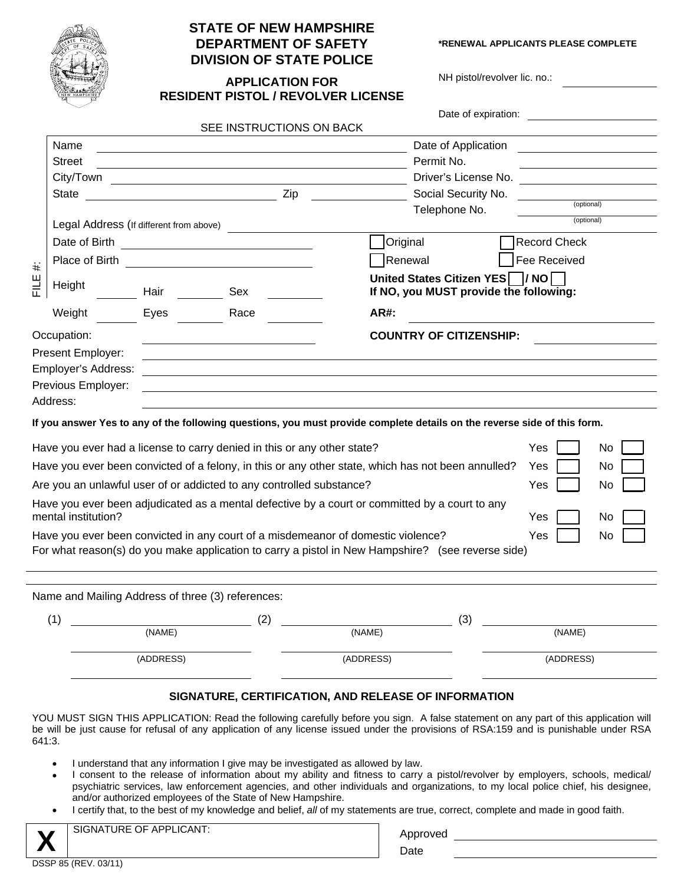|                     |                                         |      | <b>STATE OF NEW HAMPSHIRE</b><br><b>DEPARTMENT OF SAFETY</b><br><b>DIVISION OF STATE POLICE</b> |                                                                                           |                                        |  |
|---------------------|-----------------------------------------|------|-------------------------------------------------------------------------------------------------|-------------------------------------------------------------------------------------------|----------------------------------------|--|
|                     |                                         |      |                                                                                                 | <b>APPLICATION FOR</b>                                                                    | <b>RESIDENT PISTOL / REVOLVER LICE</b> |  |
|                     |                                         |      |                                                                                                 |                                                                                           | SEE INSTRUCTIONS ON BACK               |  |
|                     | Name                                    |      |                                                                                                 |                                                                                           |                                        |  |
|                     | <b>Street</b>                           |      |                                                                                                 |                                                                                           |                                        |  |
|                     |                                         |      |                                                                                                 |                                                                                           |                                        |  |
|                     | <b>State</b>                            |      |                                                                                                 | Zip                                                                                       |                                        |  |
|                     | Legal Address (If different from above) |      |                                                                                                 |                                                                                           |                                        |  |
| $\ddot{}$<br>当<br>군 |                                         |      |                                                                                                 |                                                                                           |                                        |  |
|                     | Place of Birth                          |      |                                                                                                 | the control of the control of the control of the control of the control of the control of |                                        |  |
|                     | Height                                  | Hair |                                                                                                 | Sex                                                                                       |                                        |  |
|                     | Weight                                  | Eyes |                                                                                                 | Race                                                                                      |                                        |  |
|                     | Occupation:<br><b>Present Employer:</b> |      |                                                                                                 |                                                                                           |                                        |  |

**SAFETY** \*RENEWAL APPLICANTS PLEASE COMPLETE

NH pistol/revolver lic. no.:

| <b>APPLICATION FOR</b>                    |
|-------------------------------------------|
| <b>RESIDENT PISTOL / REVOLVER LICENSE</b> |

|                                                                                                           |                                         |      |                                                                                  | Date of expiration:                                                                                                      |                     |           |
|-----------------------------------------------------------------------------------------------------------|-----------------------------------------|------|----------------------------------------------------------------------------------|--------------------------------------------------------------------------------------------------------------------------|---------------------|-----------|
|                                                                                                           |                                         |      | SEE INSTRUCTIONS ON BACK                                                         |                                                                                                                          |                     |           |
|                                                                                                           | Name                                    |      |                                                                                  | Date of Application                                                                                                      |                     |           |
|                                                                                                           | <b>Street</b>                           |      |                                                                                  | Permit No.                                                                                                               |                     |           |
|                                                                                                           | City/Town                               |      |                                                                                  | Driver's License No.                                                                                                     |                     |           |
|                                                                                                           | Zip<br><b>State</b>                     |      |                                                                                  | Social Security No.                                                                                                      |                     |           |
|                                                                                                           |                                         |      |                                                                                  | Telephone No.                                                                                                            | (optional)          |           |
|                                                                                                           | Legal Address (If different from above) |      |                                                                                  |                                                                                                                          | (optional)          |           |
|                                                                                                           |                                         |      |                                                                                  | Original                                                                                                                 | <b>Record Check</b> |           |
| $\ddot{}$                                                                                                 | Place of Birth                          |      |                                                                                  | Renewal                                                                                                                  | Fee Received        |           |
| FILE<br>FI                                                                                                | Height                                  | Hair | Sex                                                                              | United States Citizen YES / NO<br>If NO, you MUST provide the following:                                                 |                     |           |
|                                                                                                           | Weight                                  | Eyes | Race                                                                             | AR#:                                                                                                                     |                     |           |
|                                                                                                           | Occupation:                             |      |                                                                                  | <b>COUNTRY OF CITIZENSHIP:</b>                                                                                           |                     |           |
|                                                                                                           | Present Employer:                       |      |                                                                                  |                                                                                                                          |                     |           |
|                                                                                                           | Employer's Address:                     |      |                                                                                  |                                                                                                                          |                     |           |
|                                                                                                           | Previous Employer:                      |      |                                                                                  |                                                                                                                          |                     |           |
|                                                                                                           | Address:                                |      |                                                                                  |                                                                                                                          |                     |           |
|                                                                                                           |                                         |      |                                                                                  | If you answer Yes to any of the following questions, you must provide complete details on the reverse side of this form. |                     |           |
|                                                                                                           |                                         |      | Have you ever had a license to carry denied in this or any other state?          |                                                                                                                          | Yes                 | No        |
| Have you ever been convicted of a felony, in this or any other state, which has not been annulled?<br>Yes |                                         |      |                                                                                  | No                                                                                                                       |                     |           |
| Are you an unlawful user of or addicted to any controlled substance?<br>Yes<br>No                         |                                         |      |                                                                                  |                                                                                                                          |                     |           |
|                                                                                                           | mental institution?                     |      |                                                                                  | Have you ever been adjudicated as a mental defective by a court or committed by a court to any                           | Yes                 | No        |
|                                                                                                           |                                         |      | Have you ever been convicted in any court of a misdemeanor of domestic violence? |                                                                                                                          | Yes                 | <b>No</b> |
|                                                                                                           |                                         |      |                                                                                  | For what reason(s) do you make application to carry a pistol in New Hampshire? (see reverse side)                        |                     |           |
|                                                                                                           |                                         |      |                                                                                  |                                                                                                                          |                     |           |
|                                                                                                           |                                         |      |                                                                                  |                                                                                                                          |                     |           |

| Name and Mailing Address of three (3) references: |           |    |           |     |           |
|---------------------------------------------------|-----------|----|-----------|-----|-----------|
|                                                   |           | (2 |           | (3) |           |
|                                                   | (NAME)    |    | (NAME)    |     | (NAME)    |
|                                                   | (ADDRESS) |    | (ADDRESS) |     | (ADDRESS) |

## **SIGNATURE, CERTIFICATION, AND RELEASE OF INFORMATION**

YOU MUST SIGN THIS APPLICATION: Read the following carefully before you sign. A false statement on any part of this application will be will be just cause for refusal of any application of any license issued under the provisions of RSA:159 and is punishable under RSA 641:3.

- I understand that any information I give may be investigated as allowed by law.
- I consent to the release of information about my ability and fitness to carry a pistol/revolver by employers, schools, medical/ psychiatric services, law enforcement agencies, and other individuals and organizations, to my local police chief, his designee, and/or authorized employees of the State of New Hampshire.
- I certify that, to the best of my knowledge and belief, *all* of my statements are true, correct, complete and made in good faith.

SIGNATURE OF APPLICANT: Approved the state of  $\mathsf{A}\mathsf{p}$ 

| Approved |  |
|----------|--|
| Date     |  |